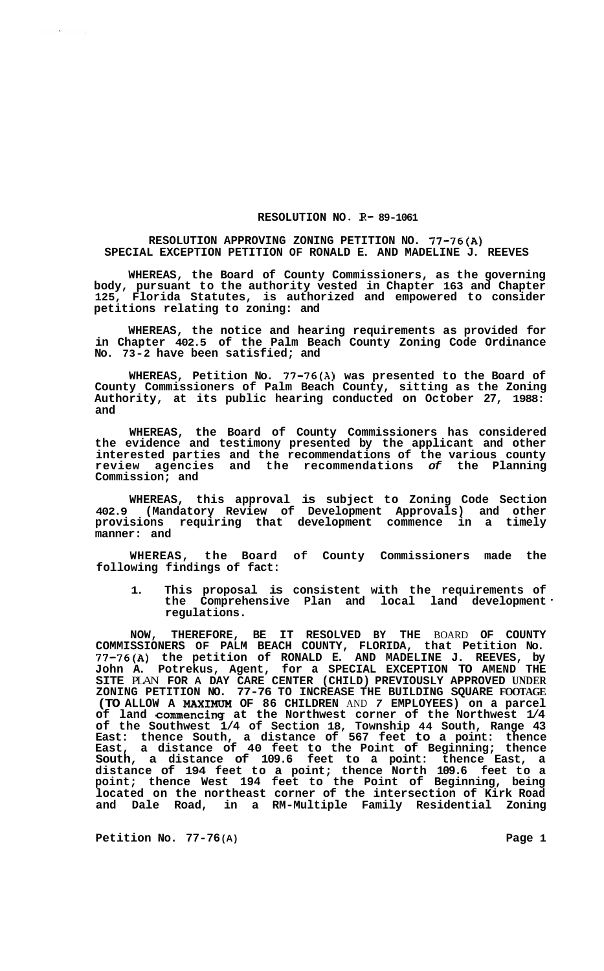## **RESOLUTION NO. R-89-1061**

## **RESOLUTION APPROVING ZONING PETITION NO. 77-76(A) SPECIAL EXCEPTION PETITION OF RONALD E. AND MADELINE J. REEVES**

**WHEREAS, the Board of County Commissioners, as the governing body, pursuant to the authority vested in Chapter 163 and Chapter 125, Florida Statutes, is authorized and empowered to consider petitions relating to zoning: and** 

**WHEREAS, the notice and hearing requirements as provided for in Chapter 402.5 of the Palm Beach County Zoning Code Ordinance No. 73-2 have been satisfied; and** 

**WHEREAS, Petition No. 77-76(A) was presented to the Board of County Commissioners of Palm Beach County, sitting as the Zoning Authority, at its public hearing conducted on October 27, 1988: and** 

**WHEREAS, the Board of County Commissioners has considered the evidence and testimony presented by the applicant and other interested parties and the recommendations of the various county review agencies and the recommendations** *of* **the Planning Commission; and** 

**WHEREAS, this approval is subject to Zoning Code Section 402.9 (Mandatory Review of Development Approvals) and other provisions requiring that development commence in a timely manner: and** 

**WHEREAS, the Board of County Commissioners made the following findings of fact:** 

**1. This proposal is consistent with the requirements of the Comprehensive Plan and local land development regulations.** 

**NOW, THEREFORE, BE IT RESOLVED BY THE** BOARD **OF COUNTY COMMISSIONERS OF PALM BEACH COUNTY, FLORIDA, that Petition No. 77-76(A) the petition of RONALD E. AND MADELINE J. REEVES, by John A. Potrekus, Agent, for a SPECIAL EXCEPTION TO AMEND THE SITE** PLAN **FOR A DAY CARE CENTER (CHILD) PREVIOUSLY APPROVED UNDER ZONING PETITION NO. 77-76 TO INCREASE THE BUILDING SQUARE FOOTAGE (TO ALLOW A MAXIMUM OF 86 CHILDREN** AND *7* **EMPLOYEES) on a parcel of land commencing at the Northwest corner of the Northwest 1/4 of the Southwest 1/4 of Section 18, Township 44 South, Range 43 East: thence South, a distance of 567 feet to a point: thence East, a distance of 40 feet to the Point of Beginning; thence South, a distance of 109.6 feet to a point: thence East, a distance of 194 feet to a point; thence North 109.6 feet to a point; thence West 194 feet to the Point of Beginning, being located on the northeast corner of the intersection of Kirk Road and Dale Road, in a RM-Multiple Family Residential Zoning** 

**Petition No. 77-76 (A) Page 1**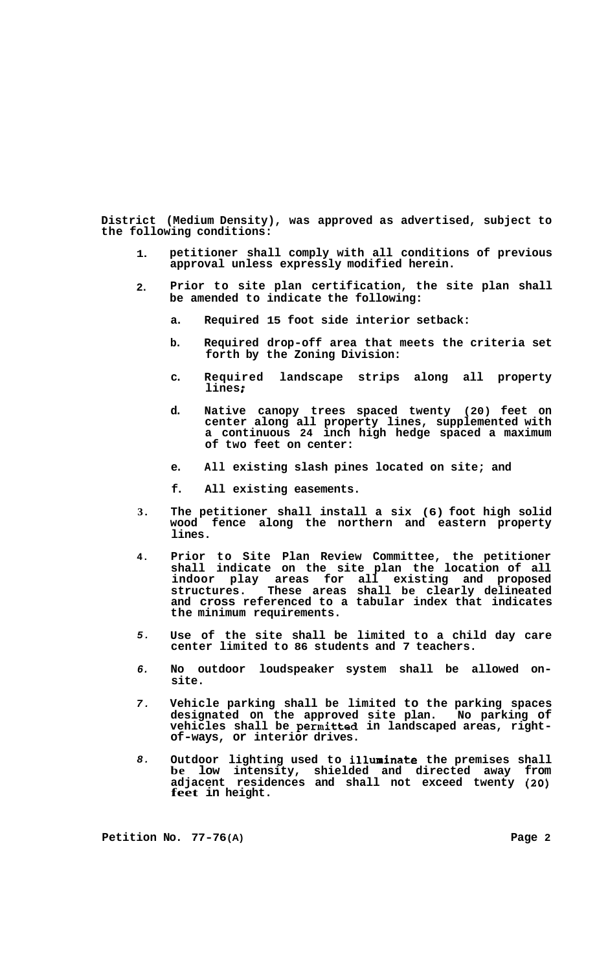**District (Medium Density), was approved as advertised, subject to the following conditions:** 

- **1. petitioner shall comply with all conditions of previous approval unless expressly modified herein.**
- **2. Prior to site plan certification, the site plan shall be amended to indicate the following:** 
	- **a. Required 15 foot side interior setback:**
	- **b. Required drop-off area that meets the criteria set forth by the Zoning Division:**
	- **c. Required landscape strips along all property lines** ;
	- **d. Native canopy trees spaced twenty (20) feet on center along all property lines, supplemented with a continuous 24 inch high hedge spaced a maximum of two feet on center:**
	- **e. All existing slash pines located on site; and**
	- **f. All existing easements.**
- **3. The petitioner shall install a six (6) foot high solid wood fence along the northern and eastern property lines.**
- **4. Prior to Site Plan Review Committee, the petitioner shall indicate on the site plan the location of all indoor play areas for all existing and proposed structures. These areas shall be clearly delineated and cross referenced to a tabular index that indicates the minimum requirements.**
- *5.*  **Use of the site shall be limited to a child day care center limited to 86 students and 7 teachers.**
- *6.*  **No outdoor loudspeaker system shall be allowed on- site.**
- *7.*  **Vehicle parking shall be limited to the parking spaces designated on the approved site plan. No parking of vehicles shall be permitted in landscaped areas, right- of-ways, or interior drives.**
- *8.*  **Outdoor lighting used to illuminate the premises shall be low intensity, shielded and directed away from adjacent residences and shall not exceed twenty** *(20)*  **feet in height.**

**Petition No. 77-76 (A) Page 2**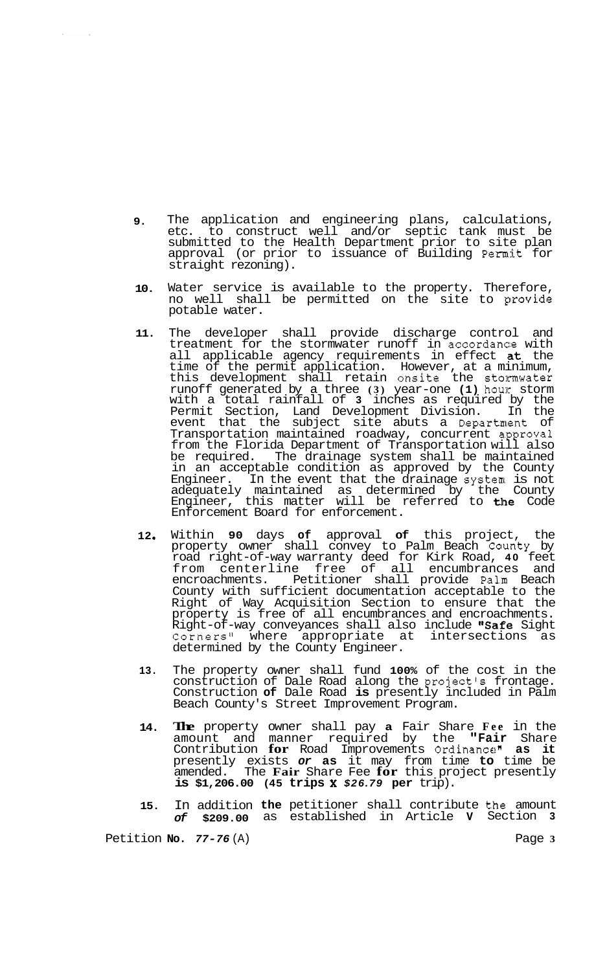- **9.**  The application and engineering plans, calculations, etc. to construct well and/or septic tank must be submitted to the Health Department prior to site plan approval (or prior to issuance of Building Permit for straight rezoning).
- **10.**  Water service is available to the property. Therefore, no well shall be permitted on the site to provide potable water.
- **11.**  The developer shall provide discharge control and treatment for the stormwater runoff in accordance with all applicable agency requirements in effect at the time of the permit application. However, at a minimum, this development shall retain onsite the stomwater runoff generated by a three **(3)** year-one **(1)** hour storm with a total rainfall of **3** inches as required by the Permit Section, Land Development Division. In the event that the subject site abuts a Department of Transportation maintained roadway, concurrent a.pprova1 from the Florida Department of Transportation will also be required. The drainage system shall be maintained in an acceptable condition as approved by the County Engineer. In the event that the drainage system is not adequately maintained as determined by the County Engineer, this matter will be referred to **the** Code Enforcement Board for enforcement.
- **12** *<sup>0</sup>* Within **90** days **of** approval **of** this project, the property owner shall convey to Palm Beach Caunty by road right-of-way warranty deed for Kirk Road, **40** feet from centerline free of all encumbrances and encroachments. Petitioner shall provide Palm Beach County with sufficient documentation acceptable to the Right of Way Acquisition Section to ensure that the property is free of all encumbrances and encroachments. Right-of-way conveyances shall also include "Safe Sight Corners" where appropriate at intersections as determined by the County Engineer.
- **13.**  The property owner shall fund **100%** of the cost in the construction of Dale Road along the project's frontage. Construction **of** Dale Road **is** presently included in Palm Beach County's Street Improvement Program.
- **14. The** property owner shall pay **a** Fair Share **Fee** in the amount and manner required by the **"Fair** Share Contribution **for** Road Improvements Ordinance" **as it**  presently exists *or* **as** it may from time **to** time be amended. The **Fair** Share Fee **for** this project presently **is \$1,206.00 (45 trips X** *\$26.79* **per** trip).
- **15.**  In addition **the** petitioner shall contribute **t.he** amount *of* **\$209.00** as established in Article **V** Section **3**

Petition **No.** *77-76* (A) Page **3** 

 $\Delta \phi$ 

 $\sim$   $\sim$